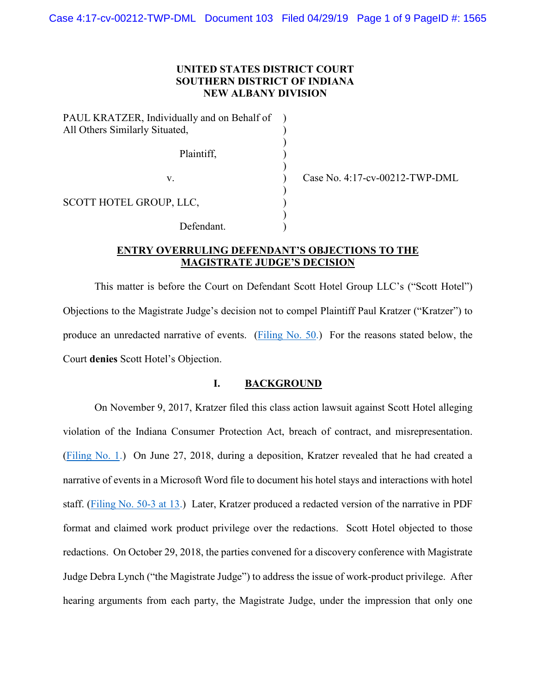## **UNITED STATES DISTRICT COURT SOUTHERN DISTRICT OF INDIANA NEW ALBANY DIVISION**

) ) )

)

)

)

PAUL KRATZER, Individually and on Behalf of All Others Similarly Situated, Plaintiff, (1) SCOTT HOTEL GROUP, LLC, Defendant.

v. **Case No. 4:17-cv-00212-TWP-DML** 

# **ENTRY OVERRULING DEFENDANT'S OBJECTIONS TO THE MAGISTRATE JUDGE'S DECISION**

This matter is before the Court on Defendant Scott Hotel Group LLC's ("Scott Hotel") Objections to the Magistrate Judge's decision not to compel Plaintiff Paul Kratzer ("Kratzer") to produce an unredacted narrative of events. [\(Filing No. 50.](https://ecf.insd.uscourts.gov/doc1/07316903017)) For the reasons stated below, the Court **denies** Scott Hotel's Objection.

#### **I. BACKGROUND**

On November 9, 2017, Kratzer filed this class action lawsuit against Scott Hotel alleging violation of the Indiana Consumer Protection Act, breach of contract, and misrepresentation. [\(Filing No. 1.](https://ecf.insd.uscourts.gov/doc1/07316263440)) On June 27, 2018, during a deposition, Kratzer revealed that he had created a narrative of events in a Microsoft Word file to document his hotel stays and interactions with hotel staff. [\(Filing No. 50-3 at 13.](https://ecf.insd.uscourts.gov/doc1/07316903020?page=13)) Later, Kratzer produced a redacted version of the narrative in PDF format and claimed work product privilege over the redactions. Scott Hotel objected to those redactions. On October 29, 2018, the parties convened for a discovery conference with Magistrate Judge Debra Lynch ("the Magistrate Judge") to address the issue of work-product privilege. After hearing arguments from each party, the Magistrate Judge, under the impression that only one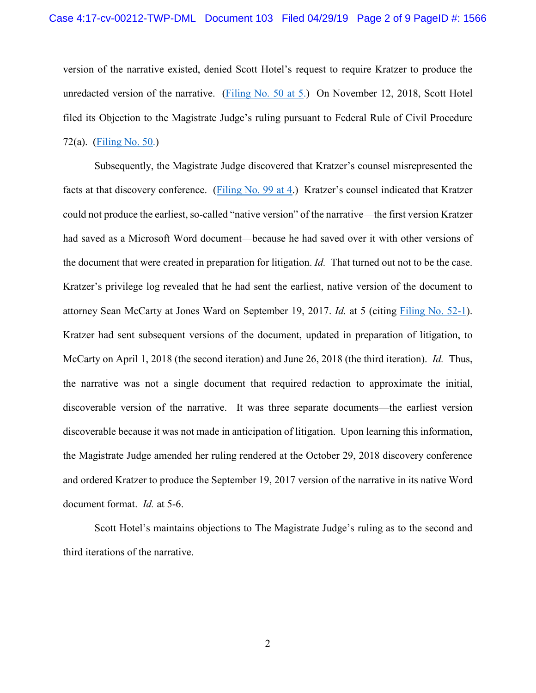version of the narrative existed, denied Scott Hotel's request to require Kratzer to produce the unredacted version of the narrative. [\(Filing No. 50 at 5.](https://ecf.insd.uscourts.gov/doc1/07316903017?page=5)) On November 12, 2018, Scott Hotel filed its Objection to the Magistrate Judge's ruling pursuant to Federal Rule of Civil Procedure 72(a). [\(Filing No. 50.](https://ecf.insd.uscourts.gov/doc1/07316903017))

Subsequently, the Magistrate Judge discovered that Kratzer's counsel misrepresented the facts at that discovery conference. [\(Filing No. 99 at 4.](https://ecf.insd.uscourts.gov/doc1/07317213422?page=4)) Kratzer's counsel indicated that Kratzer could not produce the earliest, so-called "native version" of the narrative—the first version Kratzer had saved as a Microsoft Word document—because he had saved over it with other versions of the document that were created in preparation for litigation. *Id.* That turned out not to be the case. Kratzer's privilege log revealed that he had sent the earliest, native version of the document to attorney Sean McCarty at Jones Ward on September 19, 2017. *Id.* at 5 (citing [Filing No. 52-1\)](https://ecf.insd.uscourts.gov/doc1/07316940182). Kratzer had sent subsequent versions of the document, updated in preparation of litigation, to McCarty on April 1, 2018 (the second iteration) and June 26, 2018 (the third iteration). *Id.* Thus, the narrative was not a single document that required redaction to approximate the initial, discoverable version of the narrative. It was three separate documents—the earliest version discoverable because it was not made in anticipation of litigation. Upon learning this information, the Magistrate Judge amended her ruling rendered at the October 29, 2018 discovery conference and ordered Kratzer to produce the September 19, 2017 version of the narrative in its native Word document format. *Id.* at 5-6.

Scott Hotel's maintains objections to The Magistrate Judge's ruling as to the second and third iterations of the narrative.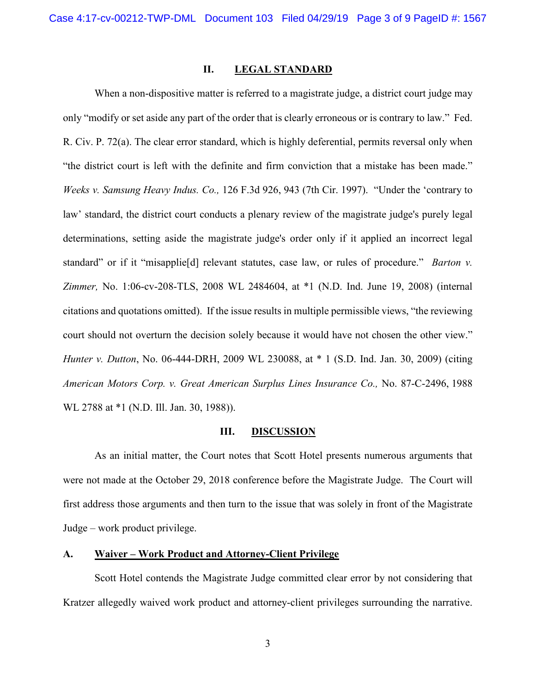## **II. LEGAL STANDARD**

When a non-dispositive matter is referred to a magistrate judge, a district court judge may only "modify or set aside any part of the order that is clearly erroneous or is contrary to law." Fed. R. Civ. P. 72(a). The clear error standard, which is highly deferential, permits reversal only when "the district court is left with the definite and firm conviction that a mistake has been made." *Weeks v. Samsung Heavy Indus. Co.,* 126 F.3d 926, 943 (7th Cir. 1997). "Under the 'contrary to law' standard, the district court conducts a plenary review of the magistrate judge's purely legal determinations, setting aside the magistrate judge's order only if it applied an incorrect legal standard" or if it "misapplie[d] relevant statutes, case law, or rules of procedure." *Barton v. Zimmer,* No. 1:06-cv-208-TLS, 2008 WL 2484604, at \*1 (N.D. Ind. June 19, 2008) (internal citations and quotations omitted). If the issue results in multiple permissible views, "the reviewing court should not overturn the decision solely because it would have not chosen the other view." *Hunter v. Dutton*, No. 06-444-DRH, 2009 WL 230088, at \* 1 (S.D. Ind. Jan. 30, 2009) (citing *American Motors Corp. v. Great American Surplus Lines Insurance Co.,* No. [87-C-2496,](https://1.next.westlaw.com/Link/Document/FullText?findType=Y&serNum=1988011681&pubNum=0000999&originatingDoc=I623be46ff1c011ddb6a3a099756c05b7&refType=RP&originationContext=document&transitionType=DocumentItem&contextData=(sc.DocLink)) 1988 WL 2788 at \*1 (N.D. Ill. Jan. 30, [1988\)\)](https://1.next.westlaw.com/Link/Document/FullText?findType=Y&serNum=1988011681&pubNum=0000999&originatingDoc=I623be46ff1c011ddb6a3a099756c05b7&refType=RP&originationContext=document&transitionType=DocumentItem&contextData=(sc.DocLink)).

#### **III. DISCUSSION**

As an initial matter, the Court notes that Scott Hotel presents numerous arguments that were not made at the October 29, 2018 conference before the Magistrate Judge. The Court will first address those arguments and then turn to the issue that was solely in front of the Magistrate Judge – work product privilege.

## **A. Waiver – Work Product and Attorney-Client Privilege**

Scott Hotel contends the Magistrate Judge committed clear error by not considering that Kratzer allegedly waived work product and attorney-client privileges surrounding the narrative.

3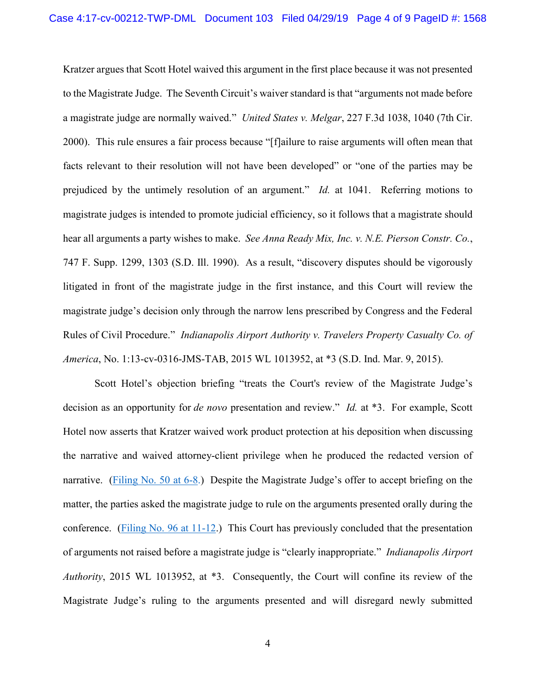Kratzer argues that Scott Hotel waived this argument in the first place because it was not presented to the Magistrate Judge. The Seventh Circuit's waiver standard is that "arguments not made before a magistrate judge are normally waived." *United States v. Melgar*, 227 F.3d 1038, 1040 (7th Cir. 2000). This rule ensures a fair process because "[f]ailure to raise arguments will often mean that facts relevant to their resolution will not have been developed" or "one of the parties may be prejudiced by the untimely resolution of an argument." *Id.* at 1041. Referring motions to magistrate judges is intended to promote judicial efficiency, so it follows that a magistrate should hear all arguments a party wishes to make. *See Anna Ready Mix, Inc. v. N.E. Pierson Constr. Co.*, 747 F. Supp. 1299, 1303 (S.D. Ill. 1990). As a result, "discovery disputes should be vigorously litigated in front of the magistrate judge in the first instance, and this Court will review the magistrate judge's decision only through the narrow lens prescribed by Congress and the Federal Rules of Civil Procedure." *Indianapolis Airport Authority v. Travelers Property Casualty Co. of America*, No. 1:13-cv-0316-JMS-TAB, 2015 WL 1013952, at \*3 (S.D. Ind. Mar. 9, 2015).

Scott Hotel's objection briefing "treats the Court's review of the Magistrate Judge's decision as an opportunity for *de novo* presentation and review." *Id.* at \*3. For example, Scott Hotel now asserts that Kratzer waived work product protection at his deposition when discussing the narrative and waived attorney-client privilege when he produced the redacted version of narrative. [\(Filing No. 50 at 6-8.](https://ecf.insd.uscourts.gov/doc1/07316903017?page=6)) Despite the Magistrate Judge's offer to accept briefing on the matter, the parties asked the magistrate judge to rule on the arguments presented orally during the conference. [\(Filing No. 96 at 11-12.](https://ecf.insd.uscourts.gov/doc1/07317191162?page=11)) This Court has previously concluded that the presentation of arguments not raised before a magistrate judge is "clearly inappropriate." *Indianapolis Airport Authority*, 2015 WL 1013952, at \*3. Consequently, the Court will confine its review of the Magistrate Judge's ruling to the arguments presented and will disregard newly submitted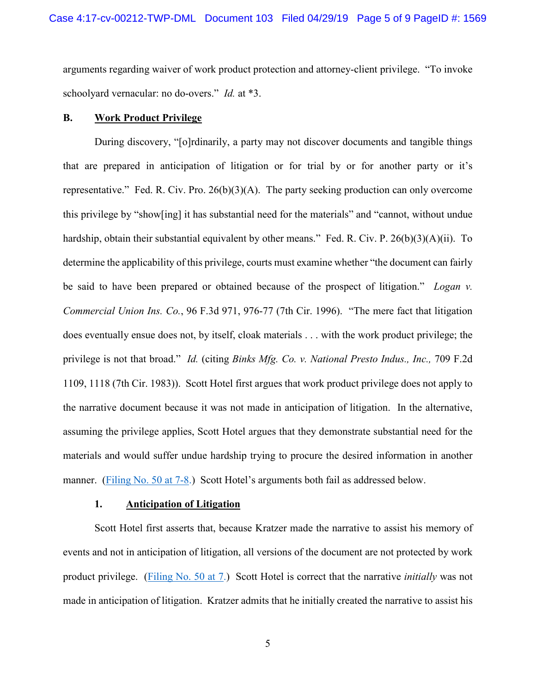arguments regarding waiver of work product protection and attorney-client privilege. "To invoke schoolyard vernacular: no do-overs." *Id.* at \*3.

## **B. Work Product Privilege**

During discovery, "[o]rdinarily, a party may not discover documents and tangible things that are prepared in anticipation of litigation or for trial by or for another party or it's representative." Fed. R. Civ. Pro. 26(b)(3)(A). The party seeking production can only overcome this privilege by "show[ing] it has substantial need for the materials" and "cannot, without undue hardship, obtain their substantial equivalent by other means." Fed. R. Civ. P. 26(b)(3)(A)(ii). To determine the applicability of this privilege, courts must examine whether "the document can fairly be said to have been prepared or obtained because of the prospect of litigation." *Logan v. Commercial Union Ins. Co.*, 96 F.3d 971, 976-77 (7th Cir. 1996). "The mere fact that litigation does eventually ensue does not, by itself, cloak materials . . . with the work product privilege; the privilege is not that broad." *Id.* (citing *Binks Mfg. Co. v. National Presto Indus., Inc.,* 709 F.2d 1109, 1118 (7th Cir. 1983)). Scott Hotel first argues that work product privilege does not apply to the narrative document because it was not made in anticipation of litigation. In the alternative, assuming the privilege applies, Scott Hotel argues that they demonstrate substantial need for the materials and would suffer undue hardship trying to procure the desired information in another manner. [\(Filing No. 50 at 7-8.](https://ecf.insd.uscourts.gov/doc1/07316903017?page=7)) Scott Hotel's arguments both fail as addressed below.

#### **1. Anticipation of Litigation**

Scott Hotel first asserts that, because Kratzer made the narrative to assist his memory of events and not in anticipation of litigation, all versions of the document are not protected by work product privilege. [\(Filing No. 50 at 7.](https://ecf.insd.uscourts.gov/doc1/07316903017?page=7)) Scott Hotel is correct that the narrative *initially* was not made in anticipation of litigation. Kratzer admits that he initially created the narrative to assist his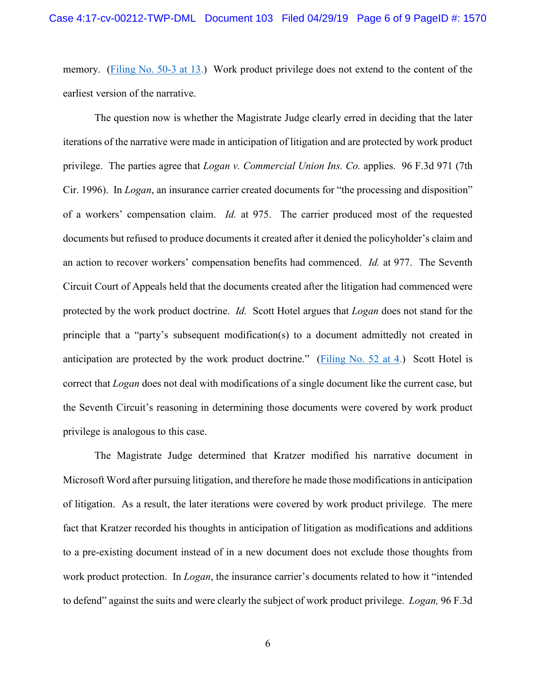memory. [\(Filing No. 50-3 at 13.](https://ecf.insd.uscourts.gov/doc1/07316903020?page=13)) Work product privilege does not extend to the content of the earliest version of the narrative.

The question now is whether the Magistrate Judge clearly erred in deciding that the later iterations of the narrative were made in anticipation of litigation and are protected by work product privilege. The parties agree that *Logan v. Commercial Union Ins. Co.* applies. 96 F.3d 971 (7th Cir. 1996). In *Logan*, an insurance carrier created documents for "the processing and disposition" of a workers' compensation claim. *Id.* at 975. The carrier produced most of the requested documents but refused to produce documents it created after it denied the policyholder's claim and an action to recover workers' compensation benefits had commenced. *Id.* at 977. The Seventh Circuit Court of Appeals held that the documents created after the litigation had commenced were protected by the work product doctrine. *Id.* Scott Hotel argues that *Logan* does not stand for the principle that a "party's subsequent modification(s) to a document admittedly not created in anticipation are protected by the work product doctrine." [\(Filing No. 52 at 4.](https://ecf.insd.uscourts.gov/doc1/07316940181?page=4)) Scott Hotel is correct that *Logan* does not deal with modifications of a single document like the current case, but the Seventh Circuit's reasoning in determining those documents were covered by work product privilege is analogous to this case.

The Magistrate Judge determined that Kratzer modified his narrative document in Microsoft Word after pursuing litigation, and therefore he made those modifications in anticipation of litigation. As a result, the later iterations were covered by work product privilege. The mere fact that Kratzer recorded his thoughts in anticipation of litigation as modifications and additions to a pre-existing document instead of in a new document does not exclude those thoughts from work product protection. In *Logan*, the insurance carrier's documents related to how it "intended to defend" against the suits and were clearly the subject of work product privilege. *Logan,* 96 F.3d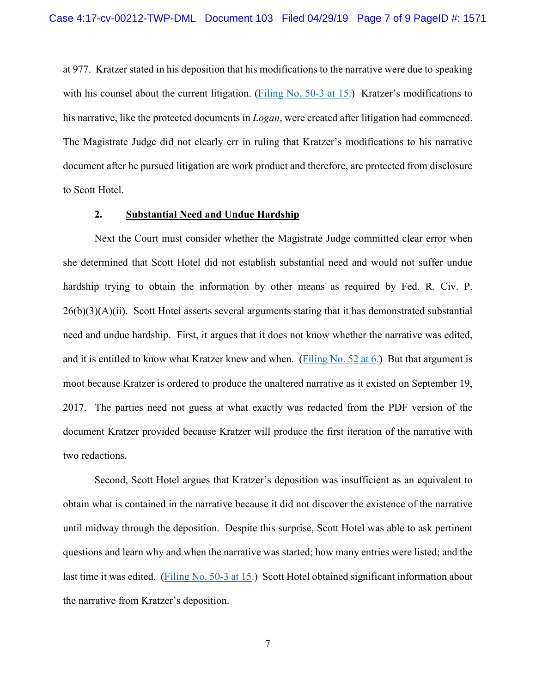at 977. Kratzer stated in his deposition that his modifications to the narrative were due to speaking with his counsel about the current litigation. [\(Filing No. 50-3 at 15.](https://ecf.insd.uscourts.gov/doc1/07316903020?page=15)) Kratzer's modifications to his narrative, like the protected documents in *Logan*, were created after litigation had commenced. The Magistrate Judge did not clearly err in ruling that Kratzer's modifications to his narrative document after he pursued litigation are work product and therefore, are protected from disclosure to Scott Hotel.

#### **2. Substantial Need and Undue Hardship**

Next the Court must consider whether the Magistrate Judge committed clear error when she determined that Scott Hotel did not establish substantial need and would not suffer undue hardship trying to obtain the information by other means as required by Fed. R. Civ. P.  $26(b)(3)(A)(ii)$ . Scott Hotel asserts several arguments stating that it has demonstrated substantial need and undue hardship. First, it argues that it does not know whether the narrative was edited, and it is entitled to know what Kratzer knew and when. [\(Filing No. 52 at 6.](https://ecf.insd.uscourts.gov/doc1/07316940181?page=6)) But that argument is moot because Kratzer is ordered to produce the unaltered narrative as it existed on September 19, 2017. The parties need not guess at what exactly was redacted from the PDF version of the document Kratzer provided because Kratzer will produce the first iteration of the narrative with two redactions.

Second, Scott Hotel argues that Kratzer's deposition was insufficient as an equivalent to obtain what is contained in the narrative because it did not discover the existence of the narrative until midway through the deposition. Despite this surprise, Scott Hotel was able to ask pertinent questions and learn why and when the narrative was started; how many entries were listed; and the last time it was edited. [\(Filing No. 50-3 at 15.](https://ecf.insd.uscourts.gov/doc1/07316903020?page=15)) Scott Hotel obtained significant information about the narrative from Kratzer's deposition.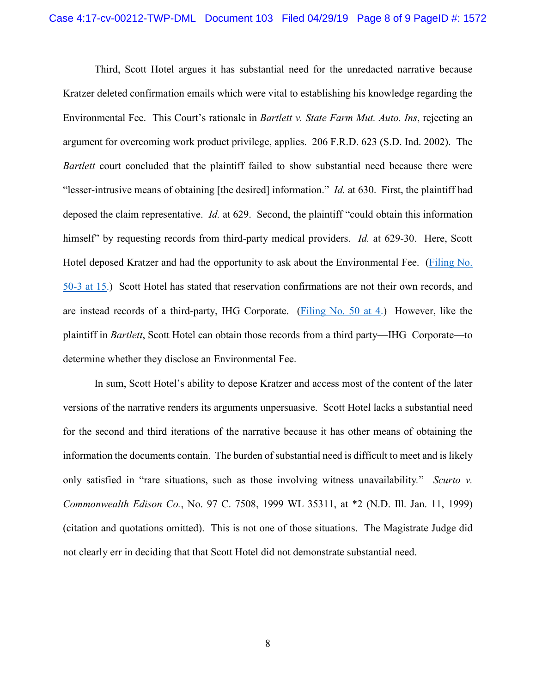Third, Scott Hotel argues it has substantial need for the unredacted narrative because Kratzer deleted confirmation emails which were vital to establishing his knowledge regarding the Environmental Fee. This Court's rationale in *Bartlett v. State Farm Mut. Auto. Ins*, rejecting an argument for overcoming work product privilege, applies. 206 F.R.D. 623 (S.D. Ind. 2002). The *Bartlett* court concluded that the plaintiff failed to show substantial need because there were "lesser-intrusive means of obtaining [the desired] information." *Id.* at 630. First, the plaintiff had deposed the claim representative. *Id.* at 629. Second, the plaintiff "could obtain this information himself" by requesting records from third-party medical providers. *Id.* at 629-30. Here, Scott Hotel deposed Kratzer and had the opportunity to ask about the Environmental Fee. [\(Filing No.](https://ecf.insd.uscourts.gov/doc1/07316903020?page=15)  [50-3 at 15.](https://ecf.insd.uscourts.gov/doc1/07316903020?page=15)) Scott Hotel has stated that reservation confirmations are not their own records, and are instead records of a third-party, IHG Corporate. [\(Filing No. 50 at 4.](https://ecf.insd.uscourts.gov/doc1/07316903017?page=4)) However, like the plaintiff in *Bartlett*, Scott Hotel can obtain those records from a third party—IHG Corporate—to determine whether they disclose an Environmental Fee.

In sum, Scott Hotel's ability to depose Kratzer and access most of the content of the later versions of the narrative renders its arguments unpersuasive. Scott Hotel lacks a substantial need for the second and third iterations of the narrative because it has other means of obtaining the information the documents contain. The burden of substantial need is difficult to meet and is likely only satisfied in "rare situations, such as those involving witness unavailability*.*" *Scurto v. Commonwealth Edison Co.*, No. 97 C. 7508, 1999 WL 35311, at \*2 (N.D. Ill. Jan. 11, 1999) (citation and quotations omitted). This is not one of those situations. The Magistrate Judge did not clearly err in deciding that that Scott Hotel did not demonstrate substantial need.